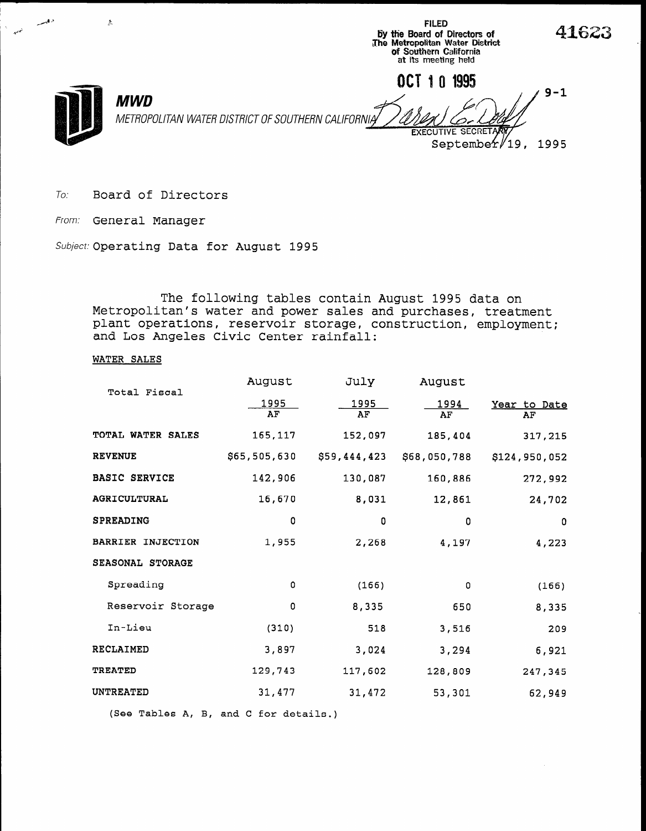of Southern California at its meeting held OCT 1 0 1995  $9 - 1$ **MWD** METROPOLITAN WATER DISTRICT OF SOUTHERN CALIFORNIA EXECUTIVE SECRE September/19, 1995

FILED by the Board of Directors of<br>The Metropolitan Water Distric

41623

To. Board of Directors

From: General Manager

 $A^A$  , and  $A^A$  , and  $A^A$ 

Aw-

Subject: Operating Data for August 1995

The following tables contain August 1995 data on Metropolitan's water and power sales and purchases, treatment plant operations, reservoir storage, construction, employment; and Los Angeles Civic Center rainfall:

### WATER SALES

| Total Fiscal             | August       | July         | August       |                    |
|--------------------------|--------------|--------------|--------------|--------------------|
|                          | 1995<br>AF   | 1995<br>AF   | 1994<br>AF   | Year to Date<br>AF |
| TOTAL WATER SALES        | 165,117      | 152,097      | 185,404      | 317,215            |
| <b>REVENUE</b>           | \$65,505,630 | \$59,444,423 | \$68,050,788 | \$124,950,052      |
| <b>BASIC SERVICE</b>     | 142,906      | 130,087      | 160,886      | 272,992            |
| <b>AGRICULTURAL</b>      | 16,670       | 8,031        | 12,861       | 24,702             |
| <b>SPREADING</b>         | 0            | 0            | 0            | 0                  |
| <b>BARRIER INJECTION</b> | 1,955        | 2,268        | 4,197        | 4,223              |
| SEASONAL STORAGE         |              |              |              |                    |
| Spreading                | 0            | (166)        | 0            | (166)              |
| Reservoir Storage        | 0            | 8,335        | 650          | 8,335              |
| In-Lieu                  | (310)        | 518          | 3,516        | 209                |
| <b>RECLAIMED</b>         | 3,897        | 3,024        | 3,294        | 6,921              |
| <b>TREATED</b>           | 129,743      | 117,602      | 128,809      | 247,345            |
| UNTREATED                | 31,477       | 31,472       | 53,301       | 62,949             |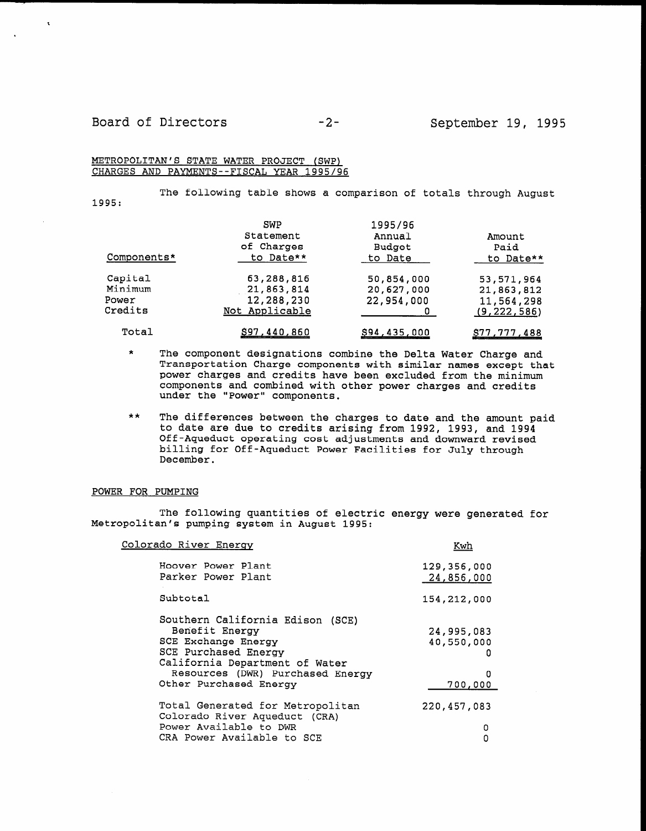$\mathbf{r}$ 

#### METROPOLITAN'S STATE WATER PROJECT (SWP) CHARGES AND PAYMENTS--FISCAL YEAR 1995/96

1995: The following table shows a comparison of totals through August

| Components* | SWP<br>Statement<br>of Charges<br>to Date** | 1995/96<br>Annual<br>Budget<br>to Date | Amount<br>Paid<br>to Date** |
|-------------|---------------------------------------------|----------------------------------------|-----------------------------|
| Capital     | 63,288,816                                  | 50,854,000                             | 53,571,964                  |
| Minimum     | 21,863,814                                  | 20,627,000                             | 21,863,812                  |
| Power       | 12,288,230                                  | 22,954,000                             | 11,564,298                  |
| Credits     | Not Applicable                              |                                        | (9, 222, 586)               |
| Total       | S97 440 860                                 | SQA 135 NOO                            | 977 777 188                 |

\* The component designations combine the Delta Water Charge and The component designations compine the beita water charge and power carges and components with similar names except the minimum the minimum the minimum the minimum the minimum power charges and credits have been excluded from the minimum components and combined with other power charges and credits under the "Power" components.

 $\mathbf{r}$  The differences between the charges to date and the amount paid the amount paid the amount paid the amount paid the amount paid the amount paid the amount paid the amount paid the amount paid the amount paid the the differences between the charges to date and the amount p to date are due to credits arising from 1992, 1993, and 1994 Off-Aqueduct operating cost adjustments and downward revised billing for Off-Aqueduct Power Facilities for July through<br>December.

#### POWER FOR PUMPING

The following quantities of electric energy were generated for  $\blacksquare$  The following quantities of electi

| Colorado River Energy                                                                                                                                                                             | Kwh                                           |
|---------------------------------------------------------------------------------------------------------------------------------------------------------------------------------------------------|-----------------------------------------------|
| Hoover Power Plant<br>Parker Power Plant                                                                                                                                                          | 129,356,000<br>24,856,000                     |
| Subtotal                                                                                                                                                                                          | 154, 212, 000                                 |
| Southern California Edison (SCE)<br>Benefit Energy<br>SCE Exchange Energy<br>SCE Purchased Energy<br>California Department of Water<br>Resources (DWR) Purchased Energy<br>Other Purchased Energy | 24,995,083<br>40,550,000<br>п<br>0<br>700,000 |
| Total Generated for Metropolitan<br>Colorado River Aqueduct (CRA)<br>Power Available to DWR<br>CRA Power Available to SCE                                                                         | 220,457,083<br>0<br>n                         |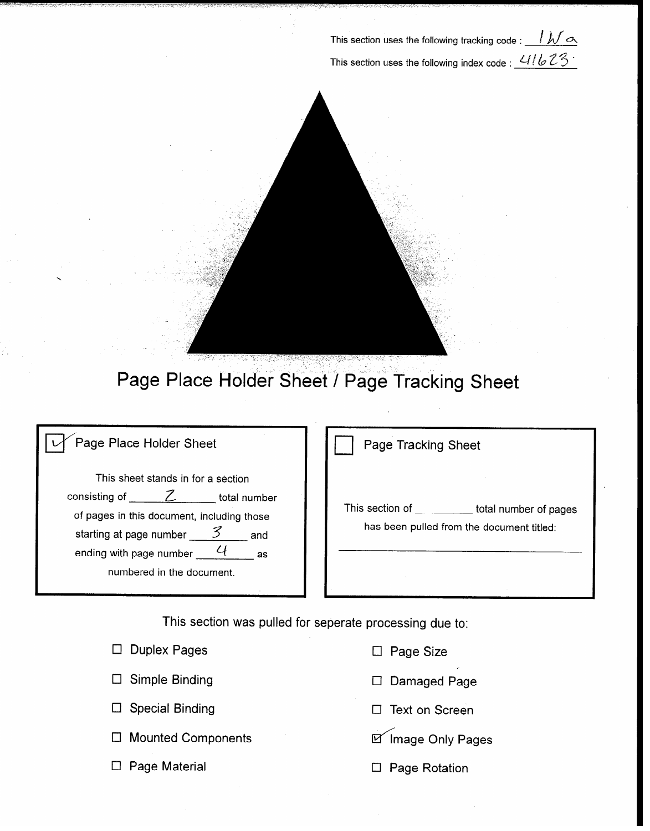This section uses the following tracking code :  $\sqrt{\mathcal{N} \varpi}$ This section uses the following index code :  $\frac{U1bZ3}{}$ 



Page Place Holder Sheet / Page Tracking Sheet

| Page Place Holder Sheet |  |
|-------------------------|--|
|                         |  |

This sheet stands in for a section consisting of  $\overline{Z}$  total number of pages in this document, including those starting at page number  $\mathcal{Z}$  and ending with page number  $4$  as numbered in the document.

|  | <b>Page Tracking Sheet</b> |  |
|--|----------------------------|--|
|  |                            |  |

This section of the total number of pages has been pulled from the document titled:

This section was pulled for seperate processing due to:

| $\Box$ Duplex Pages       | $\Box$ Page Size     |
|---------------------------|----------------------|
| $\Box$ Simple Binding     | $\Box$ Damaged Page  |
| $\Box$ Special Binding    | □ Text on Screen     |
| $\Box$ Mounted Components | Inage Only Pages     |
| $\Box$ Page Material      | $\Box$ Page Rotation |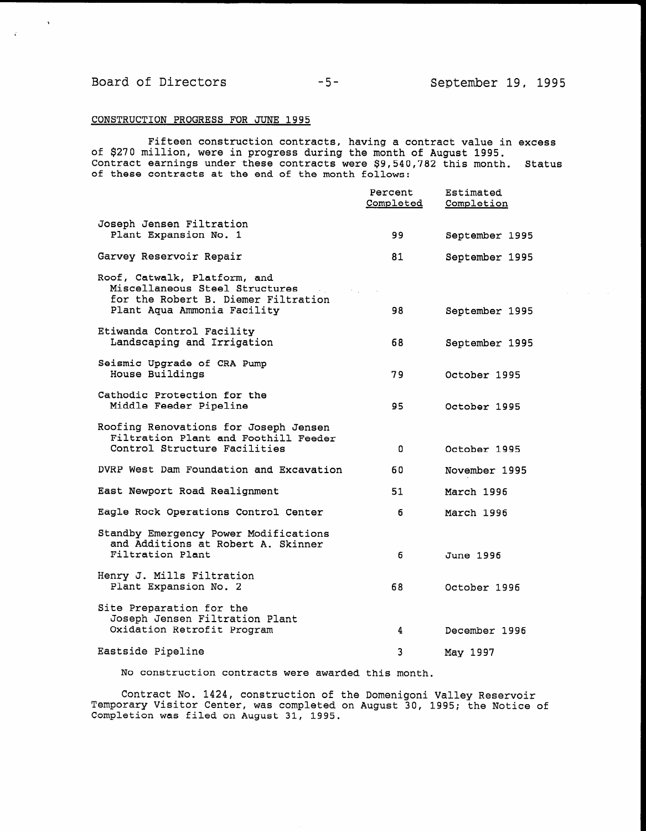$\Delta$ 

#### CONSTRUCTION PROGRESS FOR JUNE 1995

Fifteen construction contracts, having a contract value in excess of \$270 million, were in progress during the month of August 1995. Contract earnings under these contracts were \$9,540,782 this month. Status of these contracts at the end of the month follows:

|                                                                                                                                      | Percent<br>Completed | Estimated<br>Completion |
|--------------------------------------------------------------------------------------------------------------------------------------|----------------------|-------------------------|
| Joseph Jensen Filtration<br>Plant Expansion No. 1                                                                                    | 99                   | September 1995          |
| Garvey Reservoir Repair                                                                                                              | 81                   | September 1995          |
| Roof, Catwalk, Platform, and<br>Miscellaneous Steel Structures<br>for the Robert B. Diemer Filtration<br>Plant Aqua Ammonia Facility | 98                   | September 1995          |
| Etiwanda Control Facility<br>Landscaping and Irrigation                                                                              | 68                   | September 1995          |
| Seismic Upgrade of CRA Pump<br>House Buildings                                                                                       | 79                   | October 1995            |
| Cathodic Protection for the<br>Middle Feeder Pipeline                                                                                | 95.                  | October 1995            |
| Roofing Renovations for Joseph Jensen<br>Filtration Plant and Foothill Feeder<br>Control Structure Facilities                        | $\Omega$             | October 1995            |
| DVRP West Dam Foundation and Excavation                                                                                              | 60                   | November 1995           |
| East Newport Road Realignment                                                                                                        | 51                   | March 1996              |
| Eagle Rock Operations Control Center                                                                                                 | 6                    | March 1996              |
| Standby Emergency Power Modifications<br>and Additions at Robert A. Skinner<br>Filtration Plant                                      | 6                    | June 1996               |
| Henry J. Mills Filtration<br>Plant Expansion No. 2                                                                                   | 68                   | October 1996            |
| Site Preparation for the<br>Joseph Jensen Filtration Plant<br>Oxidation Retrofit Program                                             | 4                    | December 1996           |
| Eastside Pipeline                                                                                                                    | 3                    | May 1997                |

No construction contracts were awarded this month.

Contract No. 1424, construction of the Domenigoni Valley Reservoir Temporary Visitor Center, was completed on August 30, 1995; the Notice of Completion was filed on August 31, 1995.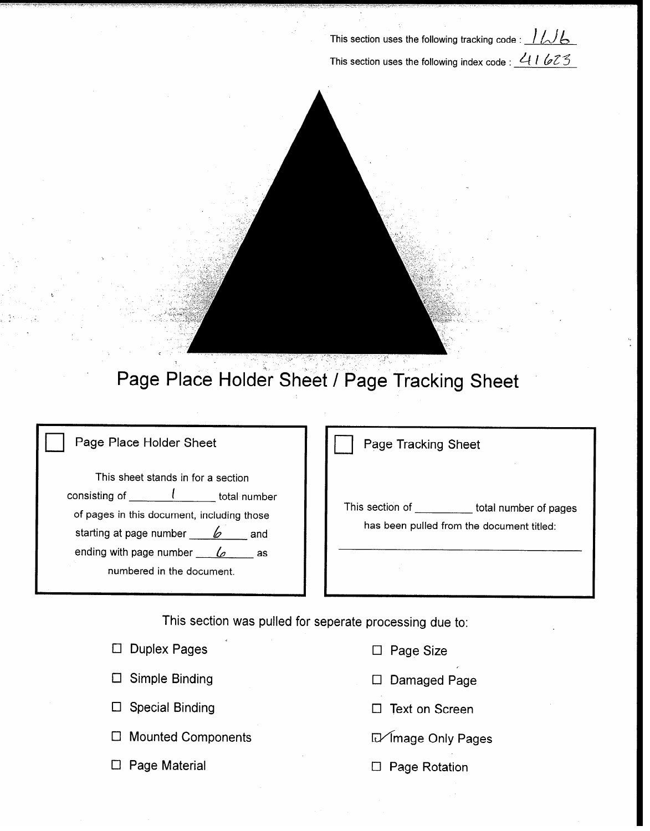This section uses the following tracking code :  $1/16$ This section uses the following index code :  $41623$ 



## Page Place Holder Sheet / Page Tracking Sheet

## Page Place Holder Sheet

This sheet stands in for a section consisting of  $\frac{l}{\sqrt{1-\frac{l}{\cosh^2{n}}}}$  total number of pages in this document, including those starting at page number  $\mathscr{L}$  and ending with page number  $\frac{6}{5}$  as numbered in the document.

Page Tracking Sheet

This section of \_\_\_\_\_\_\_\_\_\_ total number of pages has been pulled from the document titled:

This section was pulled for seperate processing due to:

|        | $\Box$ Duplex Pages       |
|--------|---------------------------|
|        | $\Box$ Simple Binding     |
|        | $\Box$ Special Binding    |
| $\Box$ | <b>Mounted Components</b> |
|        | $\Box$ Page Material      |
|        |                           |

- $\Box$  Page Size
- Cl Damaged Page
- $\Box$  Text on Screen

Ll4mage Only Pages

□ Page Rotation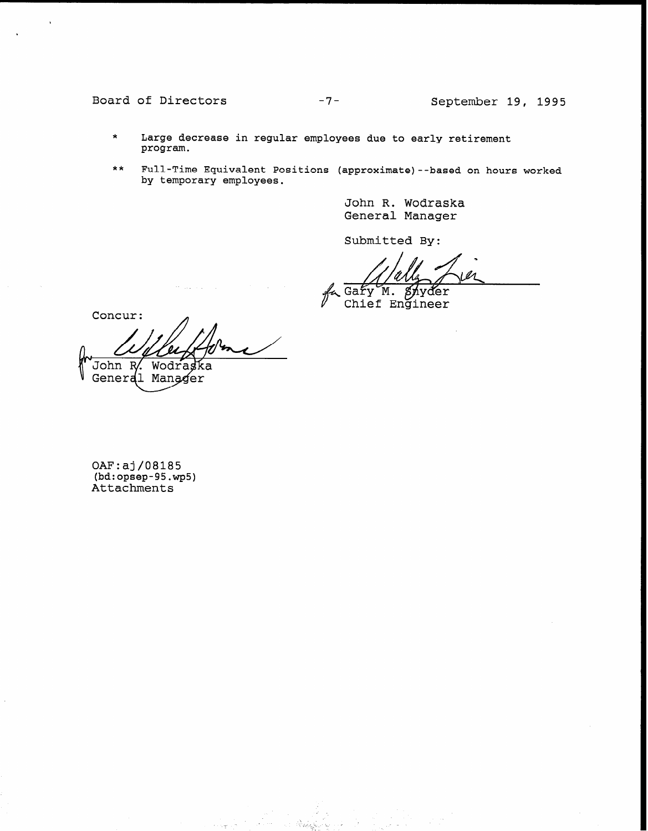## Board of Directors -7- September 19, 1995

- \* Large decrease in regular employees due to early retirement program.
- \*\* Full-Time Equivalent Positions (approximate)--based on hours worked by temporary employees.

John R. Wodraska General Manager

Submitted By:

Gary M. Snyder<br>Chief Engineer

Concur:

John R. Wodraska General Manager

OAF:aj/08185 (bd:opsep-95.wp5) Attachments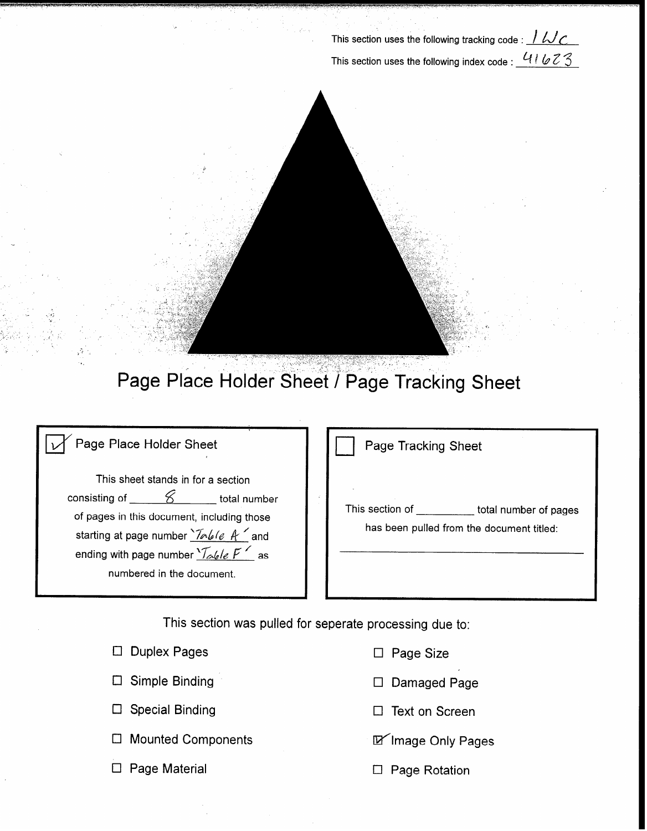This section uses the following tracking code :  $1\,\omega c$ This section uses the following index code :  $41623$ 



# Page Place Holder Sheet / Page Tracking Sheet

 $\mathfrak{s}^{\prime}$ 

| Page Place Holder Sheet                                                                                                                                                                                                                               | Page Tracking Sheet                                                                   |
|-------------------------------------------------------------------------------------------------------------------------------------------------------------------------------------------------------------------------------------------------------|---------------------------------------------------------------------------------------|
| This sheet stands in for a section<br>consisting of<br>total number<br>of pages in this document, including those<br>starting at page number <i>Inlete</i> A and<br>ending with page number $\sqrt{d}$ / $\sqrt{d}$ / as<br>numbered in the document. | This section of<br>total number of pages<br>has been pulled from the document titled: |

This section was pulled for seperate processing due to:

|                        | $\Box$ Page Size                                                                                  |
|------------------------|---------------------------------------------------------------------------------------------------|
|                        | $\Box$ Damaged Page                                                                               |
| <b>Special Binding</b> | $\Box$ Text on Screen                                                                             |
|                        | M Image Only Pages                                                                                |
|                        | $\Box$ Page Rotation                                                                              |
|                        | $\Box$ Duplex Pages<br>$\Box$ Simple Binding<br>$\Box$ Mounted Components<br>$\Box$ Page Material |